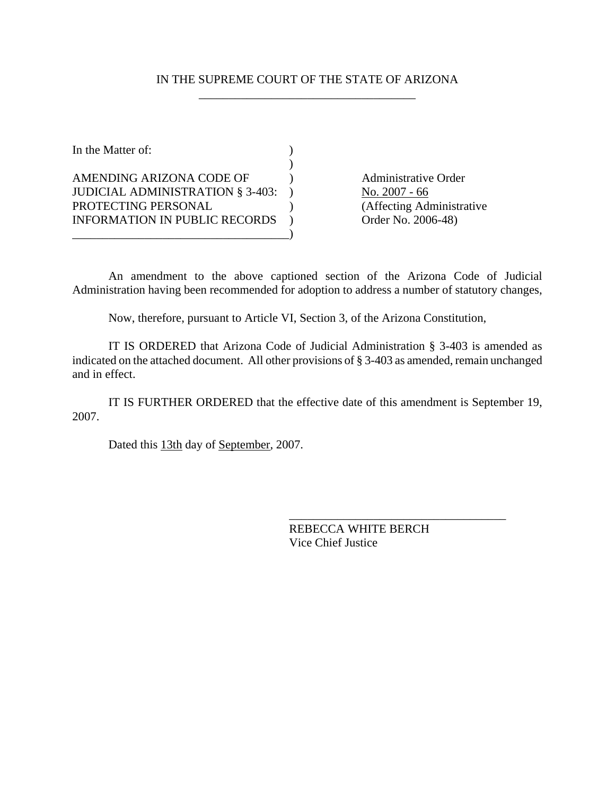## IN THE SUPREME COURT OF THE STATE OF ARIZONA \_\_\_\_\_\_\_\_\_\_\_\_\_\_\_\_\_\_\_\_\_\_\_\_\_\_\_\_\_\_\_\_\_\_\_\_

In the Matter of:  $\qquad \qquad$  )  $)$ AMENDING ARIZONA CODE OF (a) Administrative Order JUDICIAL ADMINISTRATION  $§$  3-403: ) No. 2007 - 66 PROTECTING PERSONAL (Affecting Administrative INFORMATION IN PUBLIC RECORDS ) Order No. 2006-48) \_\_\_\_\_\_\_\_\_\_\_\_\_\_\_\_\_\_\_\_\_\_\_\_\_\_\_\_\_\_\_\_\_\_\_\_)

An amendment to the above captioned section of the Arizona Code of Judicial Administration having been recommended for adoption to address a number of statutory changes,

Now, therefore, pursuant to Article VI, Section 3, of the Arizona Constitution,

IT IS ORDERED that Arizona Code of Judicial Administration § 3-403 is amended as indicated on the attached document. All other provisions of § 3-403 as amended, remain unchanged and in effect.

IT IS FURTHER ORDERED that the effective date of this amendment is September 19, 2007.

Dated this  $13th$  day of September, 2007.

REBECCA WHITE BERCH Vice Chief Justice

\_\_\_\_\_\_\_\_\_\_\_\_\_\_\_\_\_\_\_\_\_\_\_\_\_\_\_\_\_\_\_\_\_\_\_\_